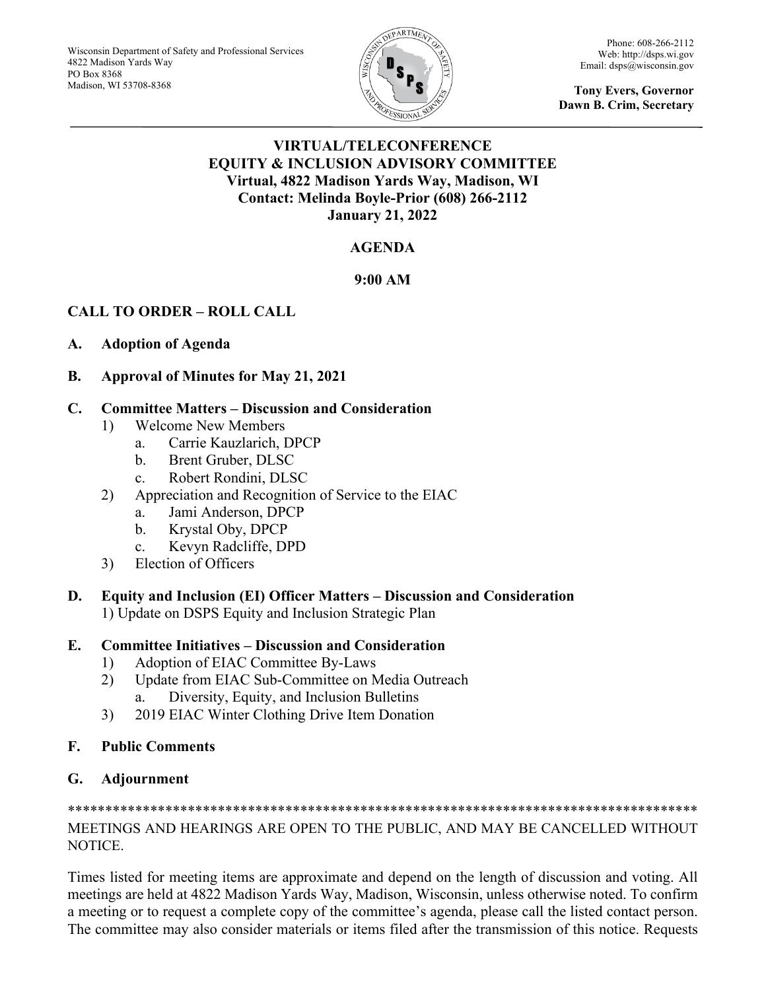

Phone: 608-266-2112 Web[: http://dsps.wi.gov](http://dsps.wi.gov/) Email[: dsps@wisconsin.gov](mailto:dsps@wisconsin.gov)

**Tony Evers, Governor Dawn B. Crim, Secretary**

## **VIRTUAL/TELECONFERENCE EQUITY & INCLUSION ADVISORY COMMITTEE Virtual, 4822 Madison Yards Way, Madison, WI Contact: Melinda Boyle-Prior (608) 266-2112 January 21, 2022**

# **AGENDA**

## **9:00 AM**

# **CALL TO ORDER – ROLL CALL**

## **A. Adoption of Agenda**

**B. Approval of Minutes for May 21, 2021**

## **C. Committee Matters – Discussion and Consideration**

- 1) Welcome New Members
	- a. Carrie Kauzlarich, DPCP
	- b. Brent Gruber, DLSC
	- c. Robert Rondini, DLSC
- 2) Appreciation and Recognition of Service to the EIAC
	- a. Jami Anderson, DPCP
	- b. Krystal Oby, DPCP
	- c. Kevyn Radcliffe, DPD
- 3) Election of Officers
- **D. Equity and Inclusion (EI) Officer Matters – Discussion and Consideration** 1) Update on DSPS Equity and Inclusion Strategic Plan

## **E. Committee Initiatives – Discussion and Consideration**

- 1) Adoption of EIAC Committee By-Laws
- 2) Update from EIAC Sub-Committee on Media Outreach a. Diversity, Equity, and Inclusion Bulletins
- 3) 2019 EIAC Winter Clothing Drive Item Donation

## **F. Public Comments**

# **G. Adjournment**

#### \*\*\*\*\*\*\*\*\*\*\*\*\*\*\*\*\*\*\*\*\*\*\*\*\*\*\*\*\*\*\*\*\*\*\*\*\*\*\*\*\*\*\*\*\*\*\*\*\*\*\*\*\*\*\*\*\*\*\*\*\*\*\*\*\*\*\*\*\*\*\*\*\*\*\*\*\*\*\*\*\*\*\*\* MEETINGS AND HEARINGS ARE OPEN TO THE PUBLIC, AND MAY BE CANCELLED WITHOUT NOTICE.

Times listed for meeting items are approximate and depend on the length of discussion and voting. All meetings are held at 4822 Madison Yards Way, Madison, Wisconsin, unless otherwise noted. To confirm a meeting or to request a complete copy of the committee's agenda, please call the listed contact person. The committee may also consider materials or items filed after the transmission of this notice. Requests